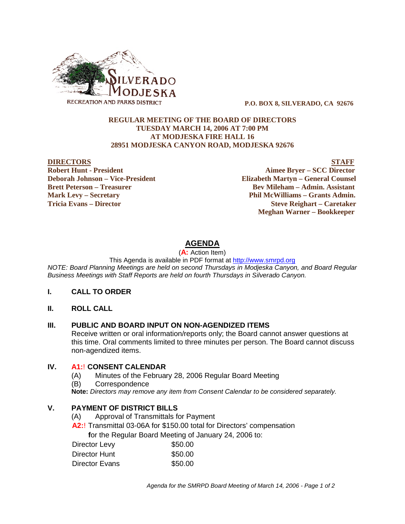

 **P.O. BOX 8, SILVERADO, CA 92676**

#### **REGULAR MEETING OF THE BOARD OF DIRECTORS TUESDAY MARCH 14, 2006 AT 7:00 PM AT MODJESKA FIRE HALL 16 28951 MODJESKA CANYON ROAD, MODJESKA 92676**

**Robert Hunt - President Aimee Bryer – SCC Director Deborah Johnson – Vice-President Elizabeth Martyn – General Counsel Brett Peterson – Treasurer Serverson – Bev Mileham – Admin. Assistant Mark Levy – Secretary Phil McWilliams – Grants Admin. Tricia Evans – Director Steve Reighart – Caretaker**

**DIRECTORS STAFF**

 **Meghan Warner – Bookkeeper**

# **AGENDA**

(**A:** Action Item)

This Agenda is available in PDF format at http://www.smrpd.org

*NOTE: Board Planning Meetings are held on second Thursdays in Modjeska Canyon, and Board Regular Business Meetings with Staff Reports are held on fourth Thursdays in Silverado Canyon.*

#### **I. CALL TO ORDER**

**II. ROLL CALL**

#### **III. PUBLIC AND BOARD INPUT ON NON-AGENDIZED ITEMS**

Receive written or oral information/reports only; the Board cannot answer questions at this time. Oral comments limited to three minutes per person. The Board cannot discuss non-agendized items.

#### **IV. A1:**! **CONSENT CALENDAR**

- (A) Minutes of the February 28, 2006 Regular Board Meeting
- (B) Correspondence

**Note:** *Directors may remove any item from Consent Calendar to be considered separately.*

## **V. PAYMENT OF DISTRICT BILLS**

- (A) Approval of Transmittals for Payment
- **A2:**! Transmittal 03-06A for \$150.00 total for Directors' compensation

 **f**or the Regular Board Meeting of January 24, 2006 to:

| Director Levy  | \$50.00 |
|----------------|---------|
| Director Hunt  | \$50.00 |
| Director Evans | \$50.00 |